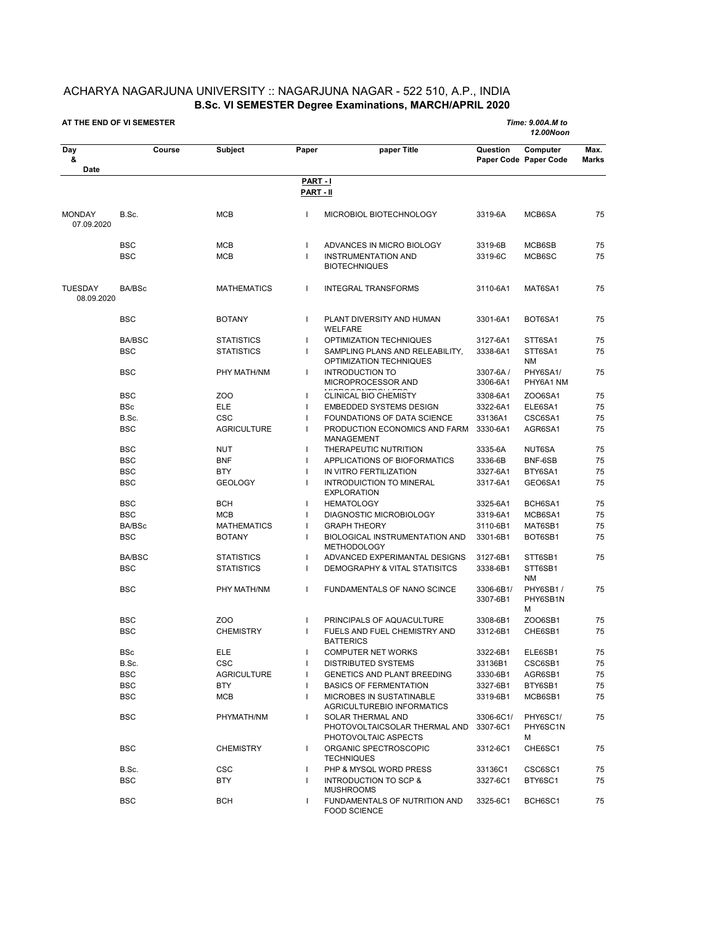## ACHARYA NAGARJUNA UNIVERSITY :: NAGARJUNA NAGAR - 522 510, A.P., INDIA **B.Sc. VI SEMESTER Degree Examinations, MARCH/APRIL 2020**

## **AT THE END OF VI SEMESTER** *Time: 9.00A.M to*

*12.00Noon*

| Day<br>&                     | Course        | Subject            | Paper                    | paper Title                                                                | Question              | Computer<br>Paper Code Paper Code | Max.<br>Marks |
|------------------------------|---------------|--------------------|--------------------------|----------------------------------------------------------------------------|-----------------------|-----------------------------------|---------------|
| Date                         |               |                    |                          |                                                                            |                       |                                   |               |
|                              |               |                    | PART-I                   |                                                                            |                       |                                   |               |
|                              |               |                    | PART - II                |                                                                            |                       |                                   |               |
| <b>MONDAY</b><br>07.09.2020  | B.Sc.         | <b>MCB</b>         | H                        | MICROBIOL BIOTECHNOLOGY                                                    | 3319-6A               | MCB6SA                            | 75            |
|                              | <b>BSC</b>    | <b>MCB</b>         | $\mathbf{I}$             | ADVANCES IN MICRO BIOLOGY                                                  | 3319-6B               | MCB6SB                            | 75            |
|                              | <b>BSC</b>    | MCB                | $\mathbf{I}$             | <b>INSTRUMENTATION AND</b>                                                 | 3319-6C               | MCB6SC                            | 75            |
|                              |               |                    |                          | <b>BIOTECHNIQUES</b>                                                       |                       |                                   |               |
| <b>TUESDAY</b><br>08.09.2020 | BA/BSc        | <b>MATHEMATICS</b> | $\mathbf{I}$             | <b>INTEGRAL TRANSFORMS</b>                                                 | 3110-6A1              | MAT6SA1                           | 75            |
|                              | <b>BSC</b>    | <b>BOTANY</b>      | $\mathbf{I}$             | PLANT DIVERSITY AND HUMAN<br><b>WELFARE</b>                                | 3301-6A1              | BOT6SA1                           | 75            |
|                              | <b>BA/BSC</b> | <b>STATISTICS</b>  | $\mathbf{I}$             | OPTIMIZATION TECHNIQUES                                                    | 3127-6A1              | STT6SA1                           | 75            |
|                              | <b>BSC</b>    | <b>STATISTICS</b>  | $\mathbf{I}$             | SAMPLING PLANS AND RELEABILITY,<br>OPTIMIZATION TECHNIQUES                 | 3338-6A1              | STT6SA1<br>ΝM                     | 75            |
|                              | <b>BSC</b>    | PHY MATH/NM        | $\mathbf{I}$             | <b>INTRODUCTION TO</b><br>MICROPROCESSOR AND                               | 3307-6A/<br>3306-6A1  | PHY6SA1/<br>PHY6A1 NM             | 75            |
|                              | <b>BSC</b>    | ZO <sub>O</sub>    |                          | <b>CLINICAL BIO CHEMISTY</b>                                               | 3308-6A1              | ZO06SA1                           | 75            |
|                              | <b>BSc</b>    | <b>ELE</b>         | $\mathbf{I}$             | <b>EMBEDDED SYSTEMS DESIGN</b>                                             | 3322-6A1              | ELE6SA1                           | 75            |
|                              | B.Sc.         | <b>CSC</b>         | H                        | FOUNDATIONS OF DATA SCIENCE                                                | 33136A1               | CSC6SA1                           | 75            |
|                              | <b>BSC</b>    | <b>AGRICULTURE</b> | I                        | PRODUCTION ECONOMICS AND FARM<br>MANAGEMENT                                | 3330-6A1              | AGR6SA1                           | 75            |
|                              | BSC           | <b>NUT</b>         | $\mathbf{I}$             | THERAPEUTIC NUTRITION                                                      | 3335-6A               | NUT6SA                            | 75            |
|                              | <b>BSC</b>    | <b>BNF</b>         | $\mathbf{I}$             | APPLICATIONS OF BIOFORMATICS                                               | 3336-6B               | BNF-6SB                           | 75            |
|                              | <b>BSC</b>    | <b>BTY</b>         | $\overline{\phantom{a}}$ | IN VITRO FERTILIZATION                                                     | 3327-6A1              | BTY6SA1                           | 75            |
|                              | <b>BSC</b>    | <b>GEOLOGY</b>     |                          | <b>INTRODUICTION TO MINERAL</b><br><b>EXPLORATION</b>                      | 3317-6A1              | GEO6SA1                           | 75            |
|                              | <b>BSC</b>    | <b>BCH</b>         |                          | <b>HEMATOLOGY</b>                                                          | 3325-6A1              | BCH6SA1                           | 75            |
|                              | <b>BSC</b>    | <b>MCB</b>         |                          | DIAGNOSTIC MICROBIOLOGY                                                    | 3319-6A1              | MCB6SA1                           | 75            |
|                              | BA/BSc        | <b>MATHEMATICS</b> | -1                       | <b>GRAPH THEORY</b>                                                        | 3110-6B1              | MAT6SB1                           | 75            |
|                              | <b>BSC</b>    | <b>BOTANY</b>      | H                        | <b>BIOLOGICAL INSTRUMENTATION AND</b><br><b>METHODOLOGY</b>                | 3301-6B1              | BOT6SB1                           | 75            |
|                              | <b>BA/BSC</b> | <b>STATISTICS</b>  | H                        | ADVANCED EXPERIMANTAL DESIGNS                                              | 3127-6B1              | STT6SB1                           | 75            |
|                              | <b>BSC</b>    | <b>STATISTICS</b>  | $\mathbf{I}$             | DEMOGRAPHY & VITAL STATISITCS                                              | 3338-6B1              | STT6SB1<br>ΝM                     |               |
|                              | BSC           | PHY MATH/NM        | $\mathbf{I}$             | <b>FUNDAMENTALS OF NANO SCINCE</b>                                         | 3306-6B1/<br>3307-6B1 | PHY6SB1/<br>PHY6SB1N<br>М         | 75            |
|                              | <b>BSC</b>    | ZO <sub>O</sub>    | $\mathbf{I}$             | PRINCIPALS OF AQUACULTURE                                                  | 3308-6B1              | ZO06SB1                           | 75            |
|                              | <b>BSC</b>    | <b>CHEMISTRY</b>   | $\mathbf{I}$             | FUELS AND FUEL CHEMISTRY AND<br><b>BATTERICS</b>                           | 3312-6B1              | CHE6SB1                           | 75            |
|                              | <b>BSc</b>    | ELE                |                          | <b>COMPUTER NET WORKS</b>                                                  | 3322-6B1              | ELE6SB1                           | 75            |
|                              | B.Sc.         | CSC                |                          | DISTRIBUTED SYSTEMS                                                        | 33136B1               | CSC6SB1                           | 75            |
|                              | <b>BSC</b>    | <b>AGRICULTURE</b> | $\mathbf{I}$             | GENETICS AND PLANT BREEDING                                                | 3330-6B1              | AGR6SB1                           | 75            |
|                              | <b>BSC</b>    | <b>BTY</b>         |                          | <b>BASICS OF FERMENTATION</b>                                              | 3327-6B1              | BTY6SB1                           | 75            |
|                              | <b>BSC</b>    | <b>MCB</b>         |                          | <b>MICROBES IN SUSTATINABLE</b><br>AGRICULTUREBIO INFORMATICS              | 3319-6B1              | MCB6SB1                           | 75            |
|                              | <b>BSC</b>    | PHYMATH/NM         |                          | SOLAR THERMAL AND<br>PHOTOVOLTAICSOLAR THERMAL AND<br>PHOTOVOLTAIC ASPECTS | 3306-6C1/<br>3307-6C1 | PHY6SC1/<br>PHY6SC1N<br>М         | 75            |
|                              | <b>BSC</b>    | <b>CHEMISTRY</b>   | $\mathbf{I}$             | ORGANIC SPECTROSCOPIC<br><b>TECHNIQUES</b>                                 | 3312-6C1              | CHE6SC1                           | 75            |
|                              | B.Sc.         | <b>CSC</b>         |                          | PHP & MYSQL WORD PRESS                                                     | 33136C1               | CSC6SC1                           | 75            |
|                              | <b>BSC</b>    | <b>BTY</b>         |                          | <b>INTRODUCTION TO SCP &amp;</b><br><b>MUSHROOMS</b>                       | 3327-6C1              | BTY6SC1                           | 75            |
|                              | <b>BSC</b>    | <b>BCH</b>         |                          | FUNDAMENTALS OF NUTRITION AND<br><b>FOOD SCIENCE</b>                       | 3325-6C1              | BCH6SC1                           | 75            |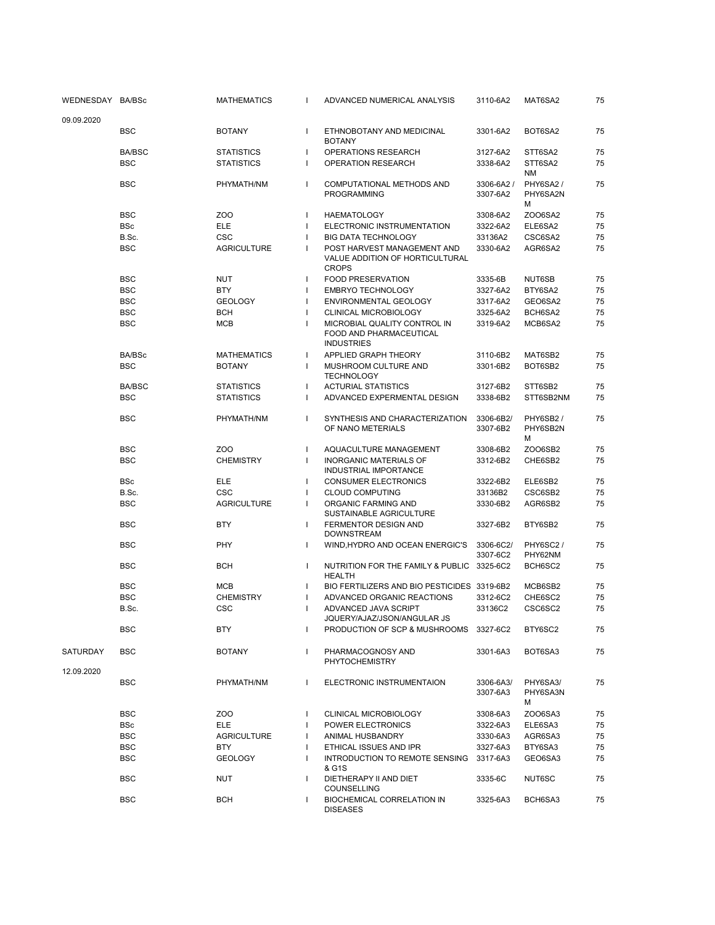| WEDNESDAY BA/BSc |               | <b>MATHEMATICS</b> | $\mathbf{I}$ | ADVANCED NUMERICAL ANALYSIS                                                    | 3110-6A2              | MAT6SA2                   | 75 |
|------------------|---------------|--------------------|--------------|--------------------------------------------------------------------------------|-----------------------|---------------------------|----|
| 09.09.2020       |               |                    |              |                                                                                |                       |                           |    |
|                  | <b>BSC</b>    | <b>BOTANY</b>      | $\mathbf{I}$ | ETHNOBOTANY AND MEDICINAL<br><b>BOTANY</b>                                     | 3301-6A2              | BOT6SA2                   | 75 |
|                  | <b>BA/BSC</b> | <b>STATISTICS</b>  | $\mathbf{I}$ | OPERATIONS RESEARCH                                                            | 3127-6A2              | STT6SA2                   | 75 |
|                  | <b>BSC</b>    | <b>STATISTICS</b>  | $\mathbf{I}$ | <b>OPERATION RESEARCH</b>                                                      | 3338-6A2              | STT6SA2<br>ΝM             | 75 |
|                  | <b>BSC</b>    | PHYMATH/NM         | $\mathbf{I}$ | COMPUTATIONAL METHODS AND<br><b>PROGRAMMING</b>                                | 3306-6A2/<br>3307-6A2 | PHY6SA2/<br>PHY6SA2N<br>м | 75 |
|                  | <b>BSC</b>    | ZO <sub>O</sub>    | $\mathbf{I}$ | <b>HAEMATOLOGY</b>                                                             | 3308-6A2              | ZO06SA2                   | 75 |
|                  | <b>BSc</b>    | <b>ELE</b>         | $\mathbf{I}$ | ELECTRONIC INSTRUMENTATION                                                     | 3322-6A2              | ELE6SA2                   | 75 |
|                  | B.Sc.         | <b>CSC</b>         |              | <b>BIG DATA TECHNOLOGY</b>                                                     | 33136A2               | CSC6SA2                   | 75 |
|                  | <b>BSC</b>    | <b>AGRICULTURE</b> |              | POST HARVEST MANAGEMENT AND<br>VALUE ADDITION OF HORTICULTURAL<br><b>CROPS</b> | 3330-6A2              | AGR6SA2                   | 75 |
|                  | <b>BSC</b>    | NUT                | $\mathbf{I}$ | <b>FOOD PRESERVATION</b>                                                       | 3335-6B               | NUT6SB                    | 75 |
|                  | <b>BSC</b>    | <b>BTY</b>         | $\mathbf{I}$ | <b>EMBRYO TECHNOLOGY</b>                                                       | 3327-6A2              | BTY6SA2                   | 75 |
|                  | <b>BSC</b>    | <b>GEOLOGY</b>     |              | ENVIRONMENTAL GEOLOGY                                                          | 3317-6A2              | GEO6SA2                   | 75 |
|                  | <b>BSC</b>    | <b>BCH</b>         | $\mathbf{I}$ | CLINICAL MICROBIOLOGY                                                          | 3325-6A2              | BCH6SA2                   | 75 |
|                  | <b>BSC</b>    | <b>MCB</b>         |              | MICROBIAL QUALITY CONTROL IN<br>FOOD AND PHARMACEUTICAL<br><b>INDUSTRIES</b>   | 3319-6A2              | MCB6SA2                   | 75 |
|                  | BA/BSc        | <b>MATHEMATICS</b> | $\mathbf{I}$ | APPLIED GRAPH THEORY                                                           | 3110-6B2              | MAT6SB2                   | 75 |
|                  | <b>BSC</b>    | <b>BOTANY</b>      | $\mathbf{I}$ | MUSHROOM CULTURE AND<br><b>TECHNOLOGY</b>                                      | 3301-6B2              | BOT6SB2                   | 75 |
|                  | <b>BA/BSC</b> | <b>STATISTICS</b>  | $\mathbf{I}$ | <b>ACTURIAL STATISTICS</b>                                                     | 3127-6B2              | STT6SB2                   | 75 |
|                  | <b>BSC</b>    | <b>STATISTICS</b>  | $\mathbf{I}$ | ADVANCED EXPERMENTAL DESIGN                                                    | 3338-6B2              | STT6SB2NM                 | 75 |
|                  | <b>BSC</b>    | PHYMATH/NM         | $\mathbf{I}$ | SYNTHESIS AND CHARACTERIZATION<br>OF NANO METERIALS                            | 3306-6B2/<br>3307-6B2 | PHY6SB2/<br>PHY6SB2N<br>м | 75 |
|                  | <b>BSC</b>    | ZOO                | $\mathbf{I}$ | AQUACULTURE MANAGEMENT                                                         | 3308-6B2              | ZOO6SB2                   | 75 |
|                  | <b>BSC</b>    | <b>CHEMISTRY</b>   | $\mathbf{I}$ | <b>INORGANIC MATERIALS OF</b><br>INDUSTRIAL IMPORTANCE                         | 3312-6B2              | CHE6SB2                   | 75 |
|                  | <b>BSc</b>    | ELE                | $\mathbf{I}$ | <b>CONSUMER ELECTRONICS</b>                                                    | 3322-6B2              | ELE6SB2                   | 75 |
|                  | B.Sc.         | <b>CSC</b>         | $\mathbf{I}$ | <b>CLOUD COMPUTING</b>                                                         | 33136B2               | CSC6SB2                   | 75 |
|                  | <b>BSC</b>    | <b>AGRICULTURE</b> | $\mathbf{I}$ | ORGANIC FARMING AND<br>SUSTAINABLE AGRICULTURE                                 | 3330-6B2              | AGR6SB2                   | 75 |
|                  | BSC           | <b>BTY</b>         | $\mathbf{I}$ | FERMENTOR DESIGN AND<br><b>DOWNSTREAM</b>                                      | 3327-6B2              | BTY6SB2                   | 75 |
|                  | <b>BSC</b>    | PHY                | $\mathbf{I}$ | WIND, HYDRO AND OCEAN ENERGIC'S                                                | 3306-6C2/<br>3307-6C2 | PHY6SC2/<br>PHY62NM       | 75 |
|                  | BSC           | <b>BCH</b>         | $\mathbf{I}$ | NUTRITION FOR THE FAMILY & PUBLIC 3325-6C2<br><b>HEALTH</b>                    |                       | BCH6SC2                   | 75 |
|                  | <b>BSC</b>    | <b>MCB</b>         | $\mathbf{I}$ | BIO FERTILIZERS AND BIO PESTICIDES 3319-6B2                                    |                       | MCB6SB2                   | 75 |
|                  | <b>BSC</b>    | <b>CHEMISTRY</b>   | $\mathbf{I}$ | ADVANCED ORGANIC REACTIONS                                                     | 3312-6C2              | CHE6SC2                   | 75 |
|                  | B.Sc.         | <b>CSC</b>         | п            | ADVANCED JAVA SCRIPT<br>JOUERY/AJAZ/JSON/ANGULAR JS                            | 33136C2               | CSC6SC2                   | 75 |
|                  | <b>BSC</b>    | BTY                | $\mathbf{I}$ | PRODUCTION OF SCP & MUSHROOMS 3327-6C2                                         |                       | BTY6SC2                   | 75 |
| SATURDAY         | <b>BSC</b>    | <b>BOTANY</b>      | $\mathbf{I}$ | PHARMACOGNOSY AND<br><b>PHYTOCHEMISTRY</b>                                     | 3301-6A3              | BOT6SA3                   | 75 |
| 12.09.2020       | <b>BSC</b>    | PHYMATH/NM         | $\mathbf{I}$ | ELECTRONIC INSTRUMENTAION                                                      | 3306-6A3/<br>3307-6A3 | PHY6SA3/<br>PHY6SA3N<br>м | 75 |
|                  | <b>BSC</b>    | ZOO                | $\mathbf{I}$ | CLINICAL MICROBIOLOGY                                                          | 3308-6A3              | ZOO6SA3                   | 75 |
|                  | <b>BSc</b>    | <b>ELE</b>         |              | POWER ELECTRONICS                                                              | 3322-6A3              | ELE6SA3                   | 75 |
|                  | <b>BSC</b>    | <b>AGRICULTURE</b> |              | ANIMAL HUSBANDRY                                                               | 3330-6A3              | AGR6SA3                   | 75 |
|                  | <b>BSC</b>    | <b>BTY</b>         |              | ETHICAL ISSUES AND IPR                                                         | 3327-6A3              | BTY6SA3                   | 75 |
|                  | <b>BSC</b>    | <b>GEOLOGY</b>     |              | INTRODUCTION TO REMOTE SENSING 3317-6A3                                        |                       | GEO6SA3                   | 75 |
|                  | <b>BSC</b>    | <b>NUT</b>         | $\mathbf{I}$ | & G1S<br>DIETHERAPY II AND DIET                                                | 3335-6C               | NUT6SC                    | 75 |
|                  | <b>BSC</b>    | <b>BCH</b>         | $\mathbf{I}$ | COUNSELLING<br>BIOCHEMICAL CORRELATION IN                                      | 3325-6A3              | BCH6SA3                   | 75 |
|                  |               |                    |              | <b>DISEASES</b>                                                                |                       |                           |    |